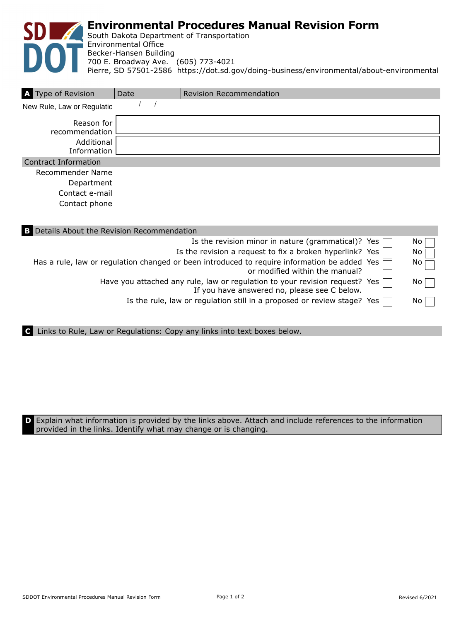

| A Type of Revision           | Date | <b>Revision Recommendation</b> |
|------------------------------|------|--------------------------------|
| New Rule, Law or Regulatio   |      |                                |
| Reason for<br>recommendation |      |                                |
| Additional<br>Information    |      |                                |
| <b>Contract Information</b>  |      |                                |
| Recommender Name             |      |                                |
| Department<br>Contact e-mail |      |                                |

Contact phone

| <b>B</b> Details About the Revision Recommendation                                                                                 |                 |
|------------------------------------------------------------------------------------------------------------------------------------|-----------------|
| Is the revision minor in nature (grammatical)? Yes $\Box$                                                                          | NO.             |
| Is the revision a request to fix a broken hyperlink? Yes $\Box$                                                                    | No.             |
| Has a rule, law or regulation changed or been introduced to require information be added Yes<br>or modified within the manual?     | No <sub>1</sub> |
| Have you attached any rule, law or regulation to your revision request? Yes $\Box$<br>If you have answered no, please see C below. | NO.             |
| Is the rule, law or regulation still in a proposed or review stage? Yes [                                                          | No.             |
|                                                                                                                                    |                 |

**C** Links to Rule, Law or Regulations: Copy any links into text boxes below.

**D** Explain what information is provided by the links above. Attach and include references to the information provided in the links. Identify what may change or is changing.